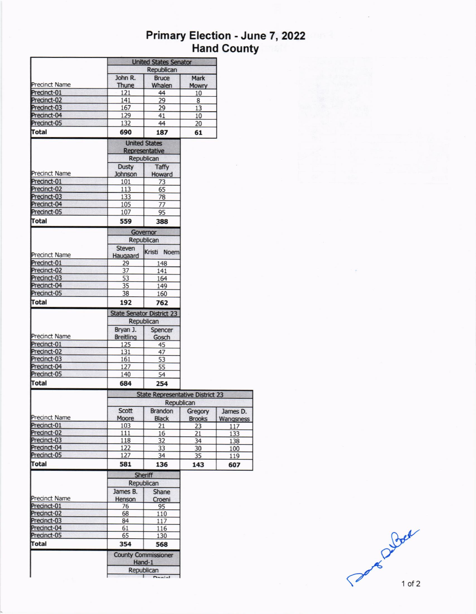# Primary Election - June 7, 2022<br>Hand County

|                            | <b>United States Senator</b>   |                                                              |               |           |  |  |  |
|----------------------------|--------------------------------|--------------------------------------------------------------|---------------|-----------|--|--|--|
|                            |                                | Republican                                                   |               |           |  |  |  |
|                            | John R.                        | <b>Bruce</b>                                                 | Mark          |           |  |  |  |
| <b>Precinct Name</b>       | Thune                          | Whalen                                                       | <b>Mowry</b>  |           |  |  |  |
| Precinct-01                | 121                            | 44                                                           | 10            |           |  |  |  |
| Precinct-02                | 141                            | 29                                                           | 8             |           |  |  |  |
| Precinct-03                | 167                            | 29                                                           | 13            |           |  |  |  |
| Precinct-04                | 129                            | 41                                                           | 10            |           |  |  |  |
| Precinct-05                | 132                            | 44                                                           | 20            |           |  |  |  |
| Total                      | 690                            | 187                                                          | 61            |           |  |  |  |
|                            |                                | <b>United States</b>                                         |               |           |  |  |  |
|                            |                                | Representative                                               |               |           |  |  |  |
|                            |                                | Republican                                                   |               |           |  |  |  |
| <b>Precinct Name</b>       | <b>Dusty</b><br><b>Johnson</b> | <b>Taffy</b><br>Howard                                       |               |           |  |  |  |
| Precinct-01                | 101                            | 73                                                           |               |           |  |  |  |
| Precinct-02                | 113                            | 65                                                           |               |           |  |  |  |
| Precinct-03                | 133                            | 78                                                           |               |           |  |  |  |
| Precinct-04                | 105                            | 77                                                           |               |           |  |  |  |
| Precinct-05                | 107                            | 95                                                           |               |           |  |  |  |
| Total                      | 559                            | 388                                                          |               |           |  |  |  |
|                            |                                | Governor                                                     |               |           |  |  |  |
|                            |                                | Republican                                                   |               |           |  |  |  |
| Precinct Name              | <b>Steven</b><br>Haugaard      | Kristi Noem                                                  |               |           |  |  |  |
| Precinct-01                | 29                             | 148                                                          |               |           |  |  |  |
| Precinct-02                | $\overline{37}$                | 141                                                          |               |           |  |  |  |
| Precinct-03                | 53                             | 164                                                          |               |           |  |  |  |
| Precinct-04                | 35                             | 149                                                          |               |           |  |  |  |
| Precinct-05                | 38                             | 160                                                          |               |           |  |  |  |
| Total                      | 192                            | 762                                                          |               |           |  |  |  |
|                            |                                | <b>State Senator District 23</b><br>Republican               |               |           |  |  |  |
|                            | Bryan J.                       | Spencer                                                      |               |           |  |  |  |
| <b>Precinct Name</b>       | <b>Breitling</b>               | Gosch                                                        |               |           |  |  |  |
| Precinct-01                | 125                            | 45                                                           |               |           |  |  |  |
| Precinct-02                | 131                            | 47                                                           |               |           |  |  |  |
| Precinct-03                | 161                            | 53                                                           |               |           |  |  |  |
| Precinct-04                | 127                            | 55                                                           |               |           |  |  |  |
| Precinct-05                | 140                            | 54                                                           |               |           |  |  |  |
| Total                      | 684                            | 254                                                          |               |           |  |  |  |
|                            |                                | <b>State Representative District 23</b><br><b>Republican</b> |               |           |  |  |  |
|                            | Scott                          | <b>Brandon</b>                                               | Gregory       | James D.  |  |  |  |
| Precinct Name              | Moore                          | <b>Black</b>                                                 | <b>Brooks</b> | Wangsness |  |  |  |
| Precinct-01                | 103                            | 21                                                           | 23            | 117       |  |  |  |
| Precinct-02                | 111                            | 16                                                           | 21            | 133       |  |  |  |
| Precinct-03                | 118                            | 32                                                           | 34            | 138       |  |  |  |
| Precinct-04                | 122                            | 33                                                           | 30            | 100       |  |  |  |
| Precinct-05                | 127                            | 34                                                           | 35            | 119       |  |  |  |
| Total                      | 581                            | 136                                                          | 143           | 607       |  |  |  |
|                            |                                | <b>Sheriff</b>                                               |               |           |  |  |  |
|                            |                                | Republican                                                   |               |           |  |  |  |
|                            | James B.                       | <b>Shane</b>                                                 |               |           |  |  |  |
| <b>Precinct Name</b>       | Henson                         | Croeni                                                       |               |           |  |  |  |
| Precinct-01                | 76                             | 95                                                           |               |           |  |  |  |
| Precinct-02<br>Precinct-03 | 68<br>84                       | 110<br>117                                                   |               |           |  |  |  |
| Precinct-04                | 61                             | 116                                                          |               |           |  |  |  |
| Precinct-05                | 65                             | 130                                                          |               |           |  |  |  |
| Total                      | 354                            | 568                                                          |               |           |  |  |  |
|                            |                                | <b>County Commissioner</b>                                   |               |           |  |  |  |
|                            |                                | Hand-1                                                       |               |           |  |  |  |
|                            |                                | Republican                                                   |               |           |  |  |  |

Part Duber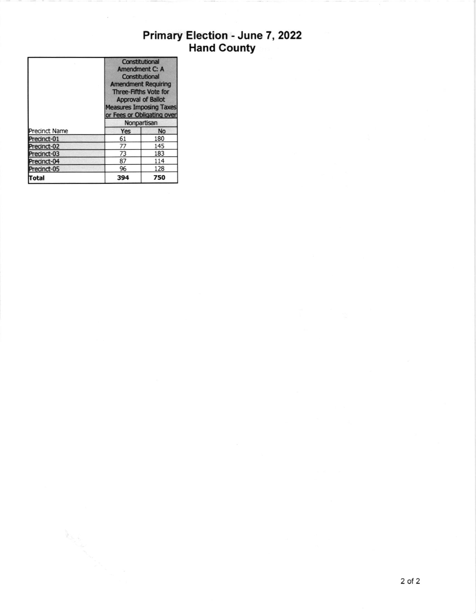# Primary Election - June 7, 2022<br>Hand County

|                      | Constitutional<br>Amendment C: A<br>Constitutional<br><b>Amendment Requiring</b><br>Three-Fifths Vote for<br><b>Approval of Ballot</b><br><b>Measures Imposing Taxes</b><br>or Fees or Obligating over<br>Nonpartisan |           |  |
|----------------------|-----------------------------------------------------------------------------------------------------------------------------------------------------------------------------------------------------------------------|-----------|--|
| <b>Precinct Name</b> | Yes                                                                                                                                                                                                                   | <b>No</b> |  |
| Precinct-01          | 61                                                                                                                                                                                                                    | 180       |  |
| Precinct-02          | 77                                                                                                                                                                                                                    | 145       |  |
| Precinct-03          | 73                                                                                                                                                                                                                    | 183       |  |
| Precinct-04          | 87                                                                                                                                                                                                                    | 114       |  |
| Precinct-05          | 96                                                                                                                                                                                                                    | 128       |  |
| Total                | 394                                                                                                                                                                                                                   | 750       |  |